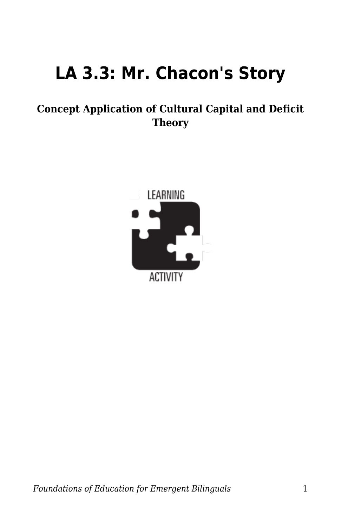## **LA 3.3: Mr. Chacon's Story**

## **Concept Application of Cultural Capital and Deficit Theory**

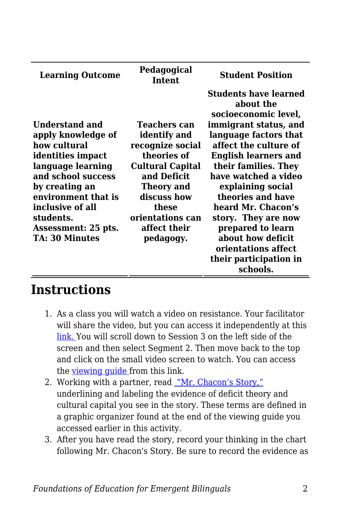| <b>Learning Outcome</b> | Pedagogical<br>Intent   | <b>Student Position</b>            |
|-------------------------|-------------------------|------------------------------------|
|                         |                         | Students have learned<br>about the |
|                         |                         | socioeconomic level,               |
| Understand and          | <b>Teachers can</b>     | immigrant status, and              |
| apply knowledge of      | identify and            | language factors that              |
| how cultural            | recognize social        | affect the culture of              |
| identities impact       | theories of             | <b>English learners and</b>        |
| language learning       | <b>Cultural Capital</b> | their families. They               |
| and school success      | and Deficit             | have watched a video               |
| by creating an          | Theory and              | explaining social                  |
| environment that is     | discuss how             | theories and have                  |
| inclusive of all        | these                   | heard Mr. Chacon's                 |
| students.               | orientations can        | story. They are now                |
| Assessment: 25 pts.     | affect their            | prepared to learn                  |
| TA: 30 Minutes          | pedagogy.               | about how deficit                  |
|                         |                         | orientations affect                |
|                         |                         | their participation in             |
|                         |                         | schools.                           |

## **Instructions**

- 1. As a class you will watch a video on resistance. Your facilitator will share the video, but you can access it independently at this [link. Y](https://education.byu.edu/tellvideolibrary/bilingualEducation)ou will scroll down to Session 3 on the left side of the screen and then select Segment 2. Then move back to the top and click on the small video screen to watch. You can access the viewing quide from this link.
- 2. Working with a partner, read ["Mr. Chacon's Story,"](https://byu.box.com/s/a5xsbdtkalqamftmf9pe9an273bgsyon) underlining and labeling the evidence of deficit theory and cultural capital you see in the story. These terms are defined in a graphic organizer found at the end of the viewing guide you accessed earlier in this activity.
- 3. After you have read the story, record your thinking in the chart following Mr. Chacon's Story. Be sure to record the evidence as